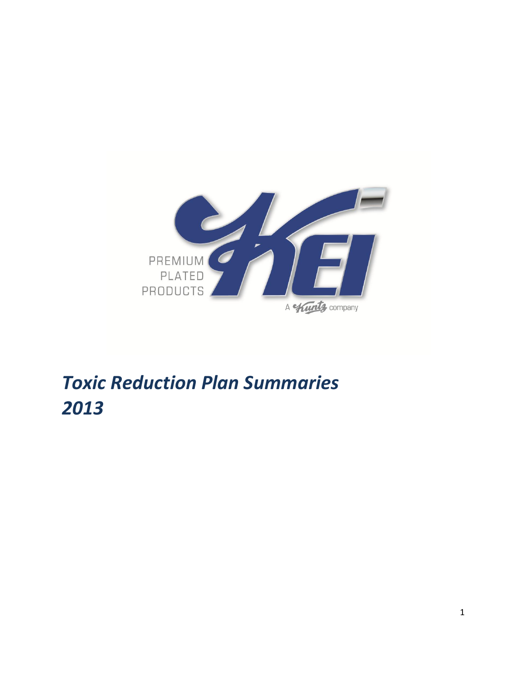

# *Toxic Reduction Plan Summaries*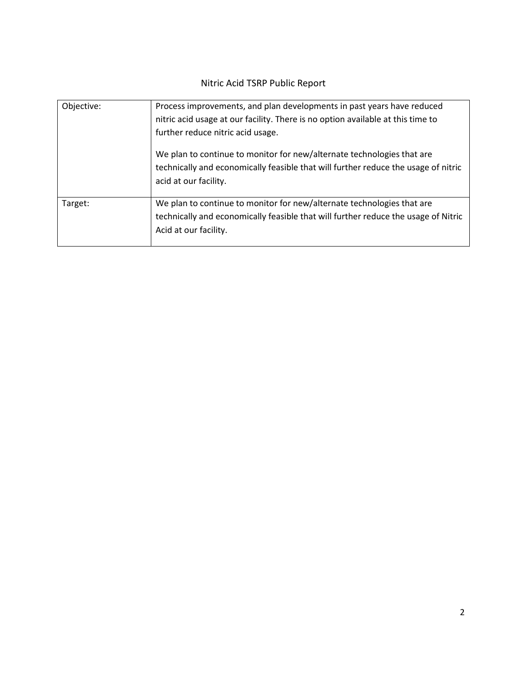## Nitric Acid TSRP Public Report

| Objective: | Process improvements, and plan developments in past years have reduced<br>nitric acid usage at our facility. There is no option available at this time to<br>further reduce nitric acid usage. |  |  |
|------------|------------------------------------------------------------------------------------------------------------------------------------------------------------------------------------------------|--|--|
|            | We plan to continue to monitor for new/alternate technologies that are<br>technically and economically feasible that will further reduce the usage of nitric<br>acid at our facility.          |  |  |
| Target:    | We plan to continue to monitor for new/alternate technologies that are<br>technically and economically feasible that will further reduce the usage of Nitric<br>Acid at our facility.          |  |  |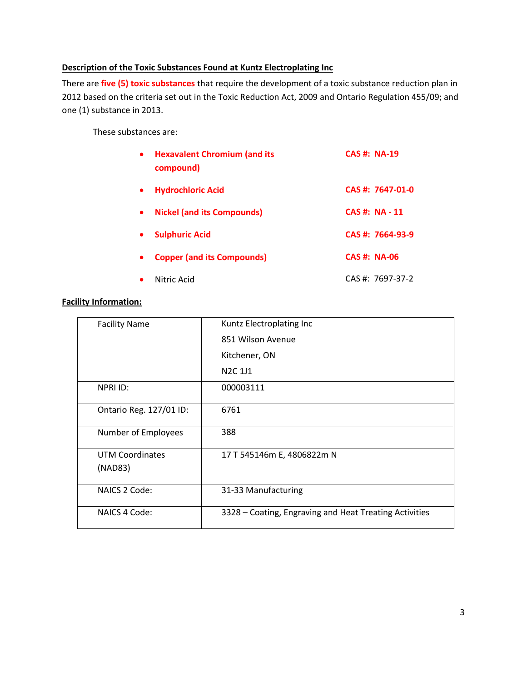## **Description of the Toxic Substances Found at Kuntz Electroplating Inc**

There are **five (5) toxic substances** that require the development of a toxic substance reduction plan in 2012 based on the criteria set out in the Toxic Reduction Act, 2009 and Ontario Regulation 455/09; and one (1) substance in 2013.

These substances are:

| <b>Hexavalent Chromium (and its</b><br>compound) | <b>CAS#: NA-19</b>  |                    |
|--------------------------------------------------|---------------------|--------------------|
| <b>Hydrochloric Acid</b>                         |                     | CAS #: 7647-01-0   |
| <b>Nickel (and its Compounds)</b>                |                     | <b>CAS#: NA-11</b> |
| <b>Sulphuric Acid</b>                            |                     | CAS #: 7664-93-9   |
| <b>Copper (and its Compounds)</b>                | <b>CAS #: NA-06</b> |                    |
| Nitric Acid                                      |                     | $CAS #: 7697-37-2$ |

## **Facility Information:**

| <b>Facility Name</b>    | Kuntz Electroplating Inc                               |  |  |
|-------------------------|--------------------------------------------------------|--|--|
|                         | 851 Wilson Avenue                                      |  |  |
|                         | Kitchener, ON                                          |  |  |
|                         | N <sub>2</sub> C <sub>1J1</sub>                        |  |  |
| NPRI ID:                | 000003111                                              |  |  |
| Ontario Reg. 127/01 ID: | 6761                                                   |  |  |
| Number of Employees     | 388                                                    |  |  |
| <b>UTM Coordinates</b>  | 17 T 545146m E, 4806822m N                             |  |  |
| (NAD83)                 |                                                        |  |  |
| NAICS 2 Code:           | 31-33 Manufacturing                                    |  |  |
| NAICS 4 Code:           | 3328 – Coating, Engraving and Heat Treating Activities |  |  |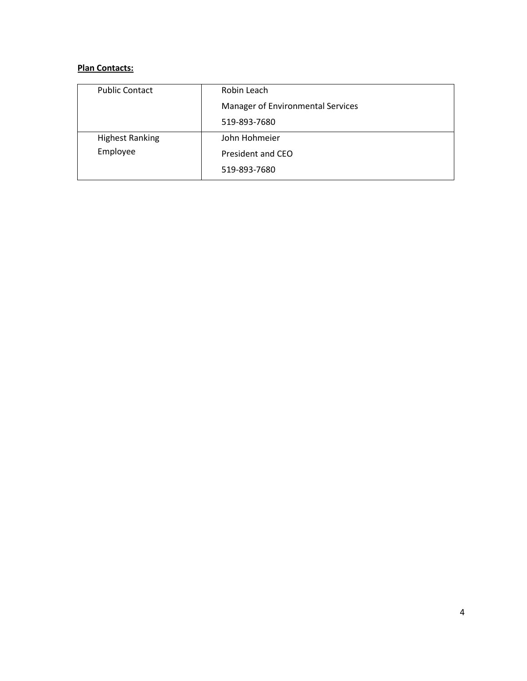## **Plan Contacts:**

| <b>Public Contact</b>  | Robin Leach                       |  |
|------------------------|-----------------------------------|--|
|                        | Manager of Environmental Services |  |
|                        | 519-893-7680                      |  |
| <b>Highest Ranking</b> | John Hohmeier                     |  |
| Employee               | President and CEO                 |  |
|                        | 519-893-7680                      |  |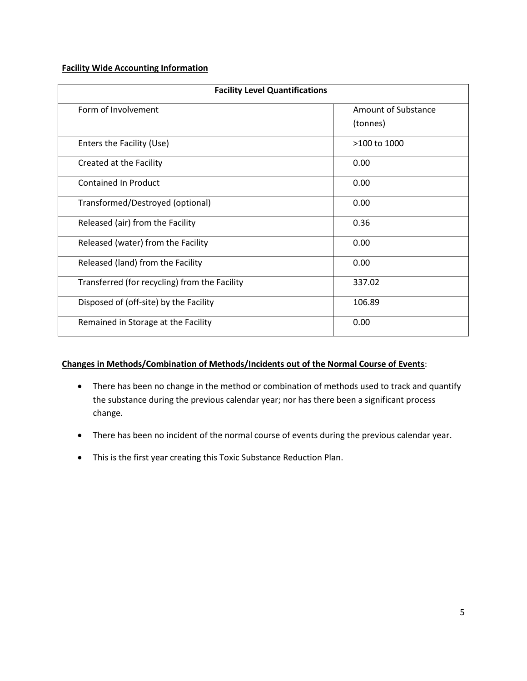#### **Facility Wide Accounting Information**

| <b>Facility Level Quantifications</b>         |                                 |  |  |  |
|-----------------------------------------------|---------------------------------|--|--|--|
| Form of Involvement                           | Amount of Substance<br>(tonnes) |  |  |  |
| Enters the Facility (Use)                     | $>100$ to $1000$                |  |  |  |
| Created at the Facility                       | 0.00                            |  |  |  |
| <b>Contained In Product</b>                   | 0.00                            |  |  |  |
| Transformed/Destroyed (optional)              | 0.00                            |  |  |  |
| Released (air) from the Facility              | 0.36                            |  |  |  |
| Released (water) from the Facility            | 0.00                            |  |  |  |
| Released (land) from the Facility             | 0.00                            |  |  |  |
| Transferred (for recycling) from the Facility | 337.02                          |  |  |  |
| Disposed of (off-site) by the Facility        | 106.89                          |  |  |  |
| Remained in Storage at the Facility           | 0.00                            |  |  |  |

## **Changes in Methods/Combination of Methods/Incidents out of the Normal Course of Events**:

- There has been no change in the method or combination of methods used to track and quantify the substance during the previous calendar year; nor has there been a significant process change.
- There has been no incident of the normal course of events during the previous calendar year.
- This is the first year creating this Toxic Substance Reduction Plan.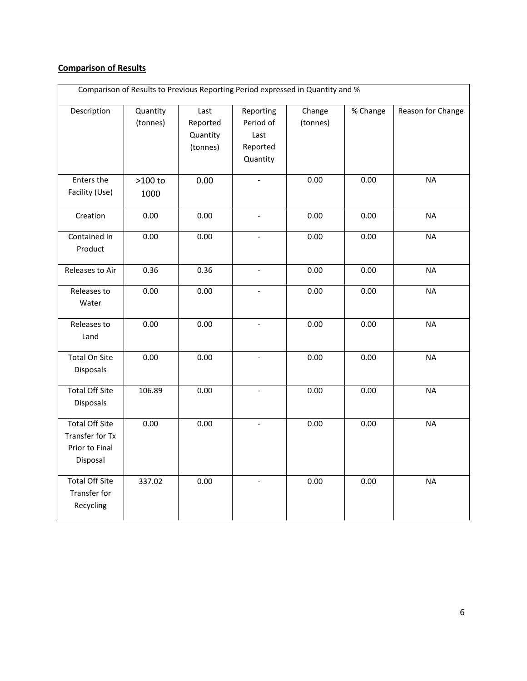## **Comparison of Results**

| Comparison of Results to Previous Reporting Period expressed in Quantity and % |                      |                                          |                                                        |                    |          |                   |
|--------------------------------------------------------------------------------|----------------------|------------------------------------------|--------------------------------------------------------|--------------------|----------|-------------------|
| Description                                                                    | Quantity<br>(tonnes) | Last<br>Reported<br>Quantity<br>(tonnes) | Reporting<br>Period of<br>Last<br>Reported<br>Quantity | Change<br>(tonnes) | % Change | Reason for Change |
| Enters the<br>Facility (Use)                                                   | $>100$ to<br>1000    | 0.00                                     | $\overline{\phantom{0}}$                               | 0.00               | 0.00     | <b>NA</b>         |
| Creation                                                                       | 0.00                 | 0.00                                     | $\overline{\phantom{0}}$                               | 0.00               | 0.00     | <b>NA</b>         |
| Contained In<br>Product                                                        | 0.00                 | 0.00                                     | $\qquad \qquad -$                                      | 0.00               | 0.00     | <b>NA</b>         |
| Releases to Air                                                                | 0.36                 | 0.36                                     | $\blacksquare$                                         | 0.00               | 0.00     | <b>NA</b>         |
| Releases to<br>Water                                                           | 0.00                 | 0.00                                     | $\overline{\phantom{a}}$                               | 0.00               | 0.00     | <b>NA</b>         |
| Releases to<br>Land                                                            | 0.00                 | 0.00                                     | $\Box$                                                 | 0.00               | 0.00     | <b>NA</b>         |
| <b>Total On Site</b><br>Disposals                                              | 0.00                 | 0.00                                     |                                                        | 0.00               | 0.00     | <b>NA</b>         |
| <b>Total Off Site</b><br>Disposals                                             | 106.89               | 0.00                                     | $\overline{\phantom{0}}$                               | 0.00               | 0.00     | <b>NA</b>         |
| <b>Total Off Site</b><br>Transfer for Tx<br>Prior to Final<br>Disposal         | 0.00                 | 0.00                                     | $\overline{\phantom{a}}$                               | 0.00               | 0.00     | <b>NA</b>         |
| <b>Total Off Site</b><br>Transfer for<br>Recycling                             | 337.02               | 0.00                                     | $\blacksquare$                                         | 0.00               | 0.00     | <b>NA</b>         |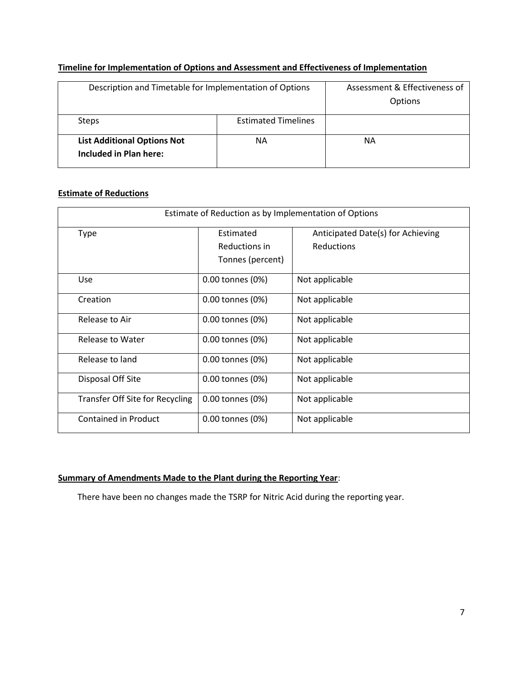## **Timeline for Implementation of Options and Assessment and Effectiveness of Implementation**

| Description and Timetable for Implementation of Options      |                            | Assessment & Effectiveness of<br>Options |
|--------------------------------------------------------------|----------------------------|------------------------------------------|
| <b>Steps</b>                                                 | <b>Estimated Timelines</b> |                                          |
| <b>List Additional Options Not</b><br>Included in Plan here: | ΝA                         | NΑ                                       |

## **Estimate of Reductions**

| Estimate of Reduction as by Implementation of Options |                  |                                   |  |  |
|-------------------------------------------------------|------------------|-----------------------------------|--|--|
| Type                                                  | Estimated        | Anticipated Date(s) for Achieving |  |  |
|                                                       | Reductions in    | Reductions                        |  |  |
|                                                       | Tonnes (percent) |                                   |  |  |
| <b>Use</b>                                            | 0.00 tonnes (0%) | Not applicable                    |  |  |
| Creation                                              | 0.00 tonnes (0%) | Not applicable                    |  |  |
| Release to Air                                        | 0.00 tonnes (0%) | Not applicable                    |  |  |
| Release to Water                                      | 0.00 tonnes (0%) | Not applicable                    |  |  |
| Release to land                                       | 0.00 tonnes (0%) | Not applicable                    |  |  |
| Disposal Off Site                                     | 0.00 tonnes (0%) | Not applicable                    |  |  |
| Transfer Off Site for Recycling                       | 0.00 tonnes (0%) | Not applicable                    |  |  |
| Contained in Product                                  | 0.00 tonnes (0%) | Not applicable                    |  |  |

## **Summary of Amendments Made to the Plant during the Reporting Year**:

There have been no changes made the TSRP for Nitric Acid during the reporting year.